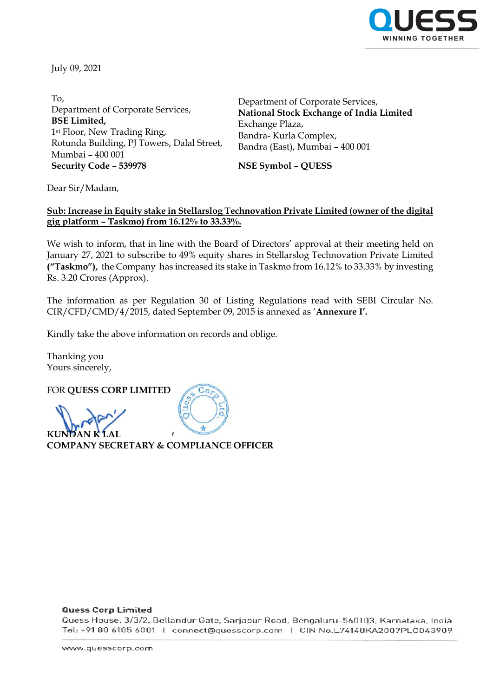

July 09, 2021

To, Department of Corporate Services, **BSE Limited,** 1st Floor, New Trading Ring, Rotunda Building, PJ Towers, Dalal Street, Mumbai – 400 001 **Security Code – 539978 NSE Symbol – QUESS**

Department of Corporate Services, **National Stock Exchange of India Limited** Exchange Plaza, Bandra- Kurla Complex, Bandra (East), Mumbai – 400 001

Dear Sir/Madam,

### **Sub: Increase in Equity stake in Stellarslog Technovation Private Limited (owner of the digital gig platform – Taskmo) from 16.12% to 33.33%.**

We wish to inform, that in line with the Board of Directors' approval at their meeting held on January 27, 2021 to subscribe to 49% equity shares in Stellarslog Technovation Private Limited **("Taskmo"),** the Company has increased its stake in Taskmo from 16.12% to 33.33% by investing Rs. 3.20 Crores (Approx).

The information as per Regulation 30 of Listing Regulations read with SEBI Circular No. CIR/CFD/CMD/4/2015, dated September 09, 2015 is annexed as '**Annexure I'.**

Kindly take the above information on records and oblige.

Thanking you Yours sincerely,

FOR **QUESS CORP LIMITED**

**KUNDAN K LAL COMPANY SECRETARY & COMPLIANCE OFFICER**

#### **Quess Corp Limited**

Quess House, 3/3/2, Bellandur Gate, Sarjapur Road, Bengaluru-560103, Karnataka, India Tel: +91 80 6105 6001 | connect@quesscorp.com | CIN No.L74140KA2007PLC043909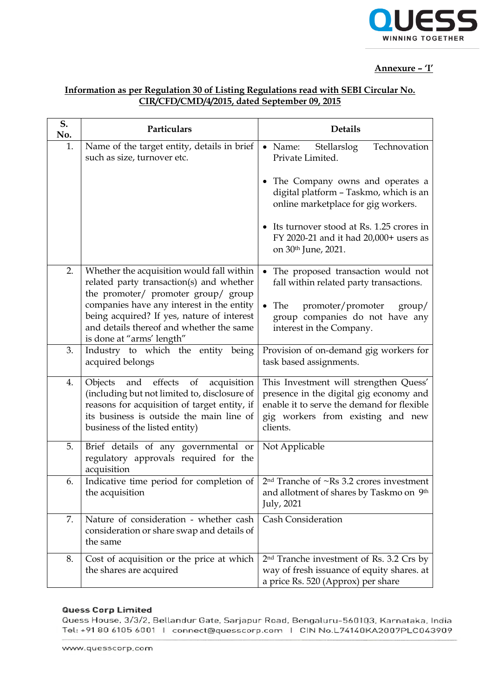

# **Annexure – 'I'**

# **Information as per Regulation 30 of Listing Regulations read with SEBI Circular No. CIR/CFD/CMD/4/2015, dated September 09, 2015**

| S.<br>No. | Particulars                                                                                                                                                                                                            | <b>Details</b>                                                                                                                                                                   |
|-----------|------------------------------------------------------------------------------------------------------------------------------------------------------------------------------------------------------------------------|----------------------------------------------------------------------------------------------------------------------------------------------------------------------------------|
| 1.        | Name of the target entity, details in brief<br>such as size, turnover etc.                                                                                                                                             | Technovation<br>• Name:<br>Stellarslog<br>Private Limited.                                                                                                                       |
|           |                                                                                                                                                                                                                        | The Company owns and operates a<br>digital platform - Taskmo, which is an<br>online marketplace for gig workers.                                                                 |
|           |                                                                                                                                                                                                                        | • Its turnover stood at Rs. 1.25 crores in<br>FY 2020-21 and it had 20,000+ users as<br>on 30 <sup>th</sup> June, 2021.                                                          |
| 2.        | Whether the acquisition would fall within<br>related party transaction(s) and whether<br>the promoter/ promoter group/ group                                                                                           | The proposed transaction would not<br>fall within related party transactions.                                                                                                    |
|           | companies have any interest in the entity<br>being acquired? If yes, nature of interest<br>and details thereof and whether the same<br>is done at "arms' length"                                                       | The<br>promoter/promoter<br>$\gamma$<br>group companies do not have any<br>interest in the Company.                                                                              |
| 3.        | Industry to which the entity<br>being<br>acquired belongs                                                                                                                                                              | Provision of on-demand gig workers for<br>task based assignments.                                                                                                                |
| 4.        | and effects of<br>Objects<br>acquisition<br>(including but not limited to, disclosure of<br>reasons for acquisition of target entity, if<br>its business is outside the main line of<br>business of the listed entity) | This Investment will strengthen Quess'<br>presence in the digital gig economy and<br>enable it to serve the demand for flexible<br>gig workers from existing and new<br>clients. |
| 5.        | Brief details of any governmental or<br>regulatory approvals required for the<br>acquisition                                                                                                                           | Not Applicable                                                                                                                                                                   |
| 6.        | Indicative time period for completion of<br>the acquisition                                                                                                                                                            | $2nd$ Tranche of $\sim$ Rs 3.2 crores investment<br>and allotment of shares by Taskmo on 9th<br>July, 2021                                                                       |
| 7.        | Nature of consideration - whether cash<br>consideration or share swap and details of<br>the same                                                                                                                       | <b>Cash Consideration</b>                                                                                                                                                        |
| 8.        | Cost of acquisition or the price at which<br>the shares are acquired                                                                                                                                                   | 2 <sup>nd</sup> Tranche investment of Rs. 3.2 Crs by<br>way of fresh issuance of equity shares. at<br>a price Rs. 520 (Approx) per share                                         |

#### **Quess Corp Limited**

Quess House, 3/3/2, Bellandur Gate, Sarjapur Road, Bengaluru-560103, Karnataka, India Tel: +91 80 6105 6001 | connect@quesscorp.com | CIN No.L74140KA2007PLC043909